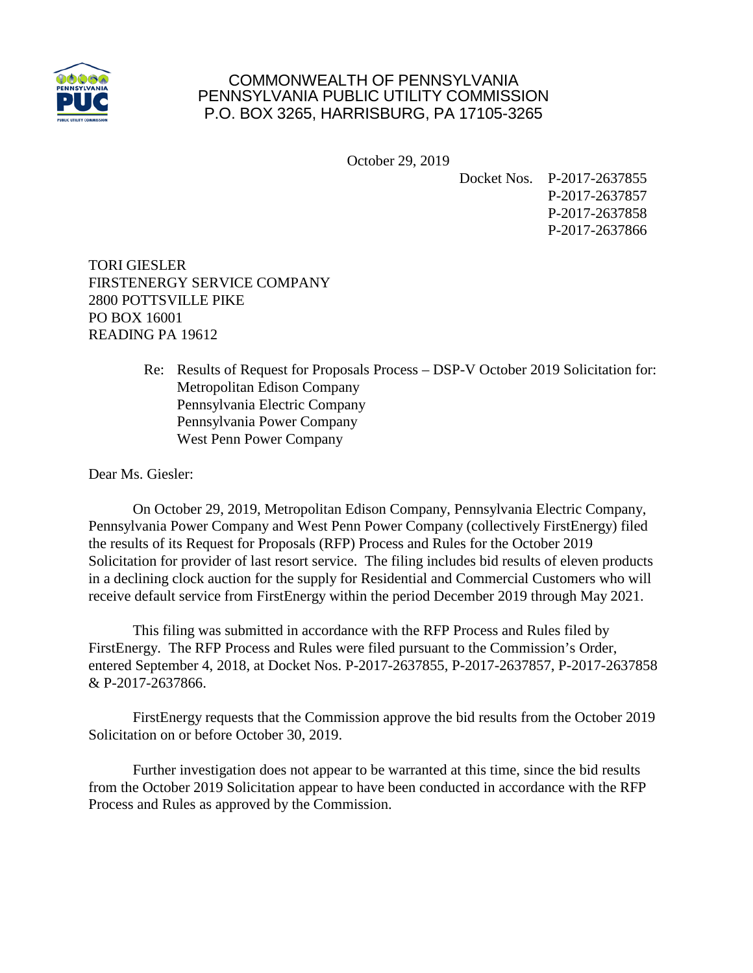

## COMMONWEALTH OF PENNSYLVANIA PENNSYLVANIA PUBLIC UTILITY COMMISSION P.O. BOX 3265, HARRISBURG, PA 17105-3265

October 29, 2019

Docket Nos. P-2017-2637855 P-2017-2637857 P-2017-2637858 P-2017-2637866

TORI GIESLER FIRSTENERGY SERVICE COMPANY 2800 POTTSVILLE PIKE PO BOX 16001 READING PA 19612

> Re: Results of Request for Proposals Process – DSP-V October 2019 Solicitation for: Metropolitan Edison Company Pennsylvania Electric Company Pennsylvania Power Company West Penn Power Company

Dear Ms. Giesler:

On October 29, 2019, Metropolitan Edison Company, Pennsylvania Electric Company, Pennsylvania Power Company and West Penn Power Company (collectively FirstEnergy) filed the results of its Request for Proposals (RFP) Process and Rules for the October 2019 Solicitation for provider of last resort service. The filing includes bid results of eleven products in a declining clock auction for the supply for Residential and Commercial Customers who will receive default service from FirstEnergy within the period December 2019 through May 2021.

This filing was submitted in accordance with the RFP Process and Rules filed by FirstEnergy. The RFP Process and Rules were filed pursuant to the Commission's Order, entered September 4, 2018, at Docket Nos. P-2017-2637855, P-2017-2637857, P-2017-2637858 & P-2017-2637866.

FirstEnergy requests that the Commission approve the bid results from the October 2019 Solicitation on or before October 30, 2019.

Further investigation does not appear to be warranted at this time, since the bid results from the October 2019 Solicitation appear to have been conducted in accordance with the RFP Process and Rules as approved by the Commission.